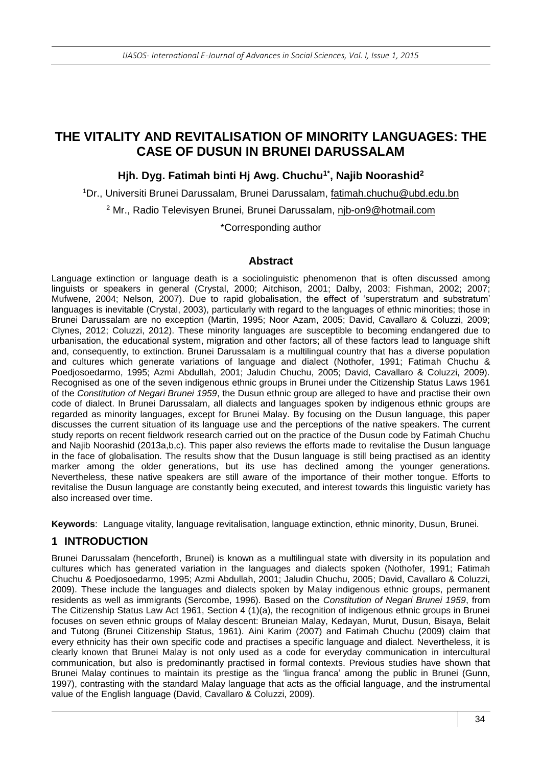# **THE VITALITY AND REVITALISATION OF MINORITY LANGUAGES: THE CASE OF DUSUN IN BRUNEI DARUSSALAM**

#### **Hjh. Dyg. Fatimah binti Hj Awg. Chuchu1\* , Najib Noorashid<sup>2</sup>**

<sup>1</sup>Dr., Universiti Brunei Darussalam, Brunei Darussalam, fatimah.chuchu@ubd.edu.bn <sup>2</sup> Mr., Radio Televisyen Brunei, Brunei Darussalam, njb-on9@hotmail.com \*Corresponding author

#### **Abstract**

Language extinction or language death is a sociolinguistic phenomenon that is often discussed among linguists or speakers in general (Crystal, 2000; Aitchison, 2001; Dalby, 2003; Fishman, 2002; 2007; Mufwene, 2004; Nelson, 2007). Due to rapid globalisation, the effect of 'superstratum and substratum' languages is inevitable (Crystal, 2003), particularly with regard to the languages of ethnic minorities; those in Brunei Darussalam are no exception (Martin, 1995; Noor Azam, 2005; David, Cavallaro & Coluzzi, 2009; Clynes, 2012; Coluzzi, 2012). These minority languages are susceptible to becoming endangered due to urbanisation, the educational system, migration and other factors; all of these factors lead to language shift and, consequently, to extinction. Brunei Darussalam is a multilingual country that has a diverse population and cultures which generate variations of language and dialect (Nothofer, 1991; Fatimah Chuchu & Poedjosoedarmo, 1995; Azmi Abdullah, 2001; Jaludin Chuchu, 2005; David, Cavallaro & Coluzzi, 2009). Recognised as one of the seven indigenous ethnic groups in Brunei under the Citizenship Status Laws 1961 of the *Constitution of Negari Brunei 1959*, the Dusun ethnic group are alleged to have and practise their own code of dialect. In Brunei Darussalam, all dialects and languages spoken by indigenous ethnic groups are regarded as minority languages, except for Brunei Malay. By focusing on the Dusun language, this paper discusses the current situation of its language use and the perceptions of the native speakers. The current study reports on recent fieldwork research carried out on the practice of the Dusun code by Fatimah Chuchu and Najib Noorashid (2013a,b,c). This paper also reviews the efforts made to revitalise the Dusun language in the face of globalisation. The results show that the Dusun language is still being practised as an identity marker among the older generations, but its use has declined among the younger generations. Nevertheless, these native speakers are still aware of the importance of their mother tongue. Efforts to revitalise the Dusun language are constantly being executed, and interest towards this linguistic variety has also increased over time.

**Keywords**: Language vitality, language revitalisation, language extinction, ethnic minority, Dusun, Brunei.

#### **1 INTRODUCTION**

Brunei Darussalam (henceforth, Brunei) is known as a multilingual state with diversity in its population and cultures which has generated variation in the languages and dialects spoken (Nothofer, 1991; Fatimah Chuchu & Poedjosoedarmo, 1995; Azmi Abdullah, 2001; Jaludin Chuchu, 2005; David, Cavallaro & Coluzzi, 2009). These include the languages and dialects spoken by Malay indigenous ethnic groups, permanent residents as well as immigrants (Sercombe, 1996). Based on the *Constitution of Negari Brunei 1959*, from The Citizenship Status Law Act 1961, Section 4 (1)(a), the recognition of indigenous ethnic groups in Brunei focuses on seven ethnic groups of Malay descent: Bruneian Malay, Kedayan, Murut, Dusun, Bisaya, Belait and Tutong (Brunei Citizenship Status, 1961). Aini Karim (2007) and Fatimah Chuchu (2009) claim that every ethnicity has their own specific code and practises a specific language and dialect. Nevertheless, it is clearly known that Brunei Malay is not only used as a code for everyday communication in intercultural communication, but also is predominantly practised in formal contexts. Previous studies have shown that Brunei Malay continues to maintain its prestige as the 'lingua franca' among the public in Brunei (Gunn, 1997), contrasting with the standard Malay language that acts as the official language, and the instrumental value of the English language (David, Cavallaro & Coluzzi, 2009).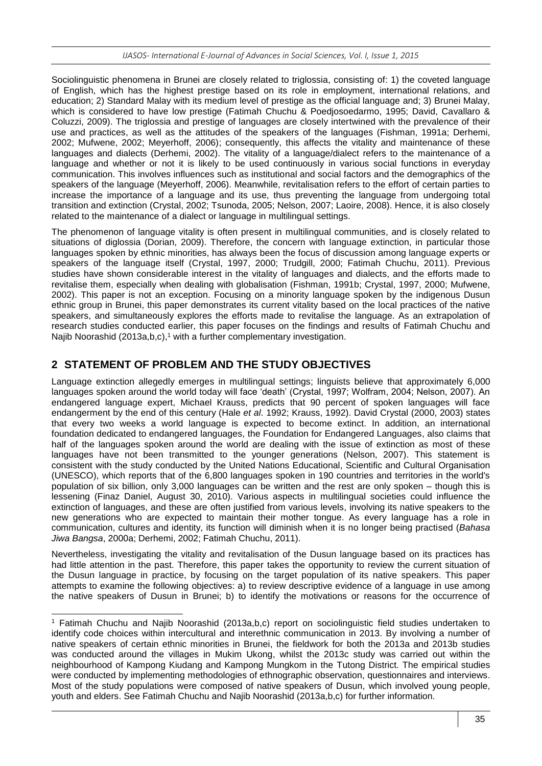Sociolinguistic phenomena in Brunei are closely related to triglossia, consisting of: 1) the coveted language of English, which has the highest prestige based on its role in employment, international relations, and education; 2) Standard Malay with its medium level of prestige as the official language and; 3) Brunei Malay, which is considered to have low prestige (Fatimah Chuchu & Poedjosoedarmo, 1995; David, Cavallaro & Coluzzi, 2009). The triglossia and prestige of languages are closely intertwined with the prevalence of their use and practices, as well as the attitudes of the speakers of the languages (Fishman, 1991a; Derhemi, 2002; Mufwene, 2002; Meyerhoff, 2006); consequently, this affects the vitality and maintenance of these languages and dialects (Derhemi, 2002). The vitality of a language/dialect refers to the maintenance of a language and whether or not it is likely to be used continuously in various social functions in everyday communication. This involves influences such as institutional and social factors and the demographics of the speakers of the language (Meyerhoff, 2006). Meanwhile, revitalisation refers to the effort of certain parties to increase the importance of a language and its use, thus preventing the language from undergoing total transition and extinction (Crystal, 2002; Tsunoda, 2005; Nelson, 2007; Laoire, 2008). Hence, it is also closely related to the maintenance of a dialect or language in multilingual settings.

The phenomenon of language vitality is often present in multilingual communities, and is closely related to situations of diglossia (Dorian, 2009). Therefore, the concern with language extinction, in particular those languages spoken by ethnic minorities, has always been the focus of discussion among language experts or speakers of the language itself (Crystal, 1997, 2000; Trudgill, 2000; Fatimah Chuchu, 2011). Previous studies have shown considerable interest in the vitality of languages and dialects, and the efforts made to revitalise them, especially when dealing with globalisation (Fishman, 1991b; Crystal, 1997, 2000; Mufwene, 2002). This paper is not an exception. Focusing on a minority language spoken by the indigenous Dusun ethnic group in Brunei, this paper demonstrates its current vitality based on the local practices of the native speakers, and simultaneously explores the efforts made to revitalise the language. As an extrapolation of research studies conducted earlier, this paper focuses on the findings and results of Fatimah Chuchu and Najib Noorashid (2013a,b,c), <sup>1</sup> with a further complementary investigation.

### **2 STATEMENT OF PROBLEM AND THE STUDY OBJECTIVES**

-

Language extinction allegedly emerges in multilingual settings; linguists believe that approximately 6,000 languages spoken around the world today will face 'death' (Crystal, 1997; Wolfram, 2004; Nelson, 2007). An endangered language expert, Michael Krauss, predicts that 90 percent of spoken languages will face endangerment by the end of this century (Hale *et al*. 1992; Krauss, 1992). David Crystal (2000, 2003) states that every two weeks a world language is expected to become extinct. In addition, an international foundation dedicated to endangered languages, the Foundation for Endangered Languages, also claims that half of the languages spoken around the world are dealing with the issue of extinction as most of these languages have not been transmitted to the younger generations (Nelson, 2007). This statement is consistent with the study conducted by the United Nations Educational, Scientific and Cultural Organisation (UNESCO), which reports that of the 6,800 languages spoken in 190 countries and territories in the world's population of six billion, only 3,000 languages can be written and the rest are only spoken – though this is lessening (Finaz Daniel, August 30, 2010). Various aspects in multilingual societies could influence the extinction of languages, and these are often justified from various levels, involving its native speakers to the new generations who are expected to maintain their mother tongue. As every language has a role in communication, cultures and identity, its function will diminish when it is no longer being practised (*Bahasa Jiwa Bangsa*, 2000a; Derhemi, 2002; Fatimah Chuchu, 2011).

Nevertheless, investigating the vitality and revitalisation of the Dusun language based on its practices has had little attention in the past. Therefore, this paper takes the opportunity to review the current situation of the Dusun language in practice, by focusing on the target population of its native speakers. This paper attempts to examine the following objectives: a) to review descriptive evidence of a language in use among the native speakers of Dusun in Brunei; b) to identify the motivations or reasons for the occurrence of

<sup>1</sup> Fatimah Chuchu and Najib Noorashid (2013a,b,c) report on sociolinguistic field studies undertaken to identify code choices within intercultural and interethnic communication in 2013. By involving a number of native speakers of certain ethnic minorities in Brunei, the fieldwork for both the 2013a and 2013b studies was conducted around the villages in Mukim Ukong, whilst the 2013c study was carried out within the neighbourhood of Kampong Kiudang and Kampong Mungkom in the Tutong District. The empirical studies were conducted by implementing methodologies of ethnographic observation, questionnaires and interviews. Most of the study populations were composed of native speakers of Dusun, which involved young people, youth and elders. See Fatimah Chuchu and Najib Noorashid (2013a,b,c) for further information.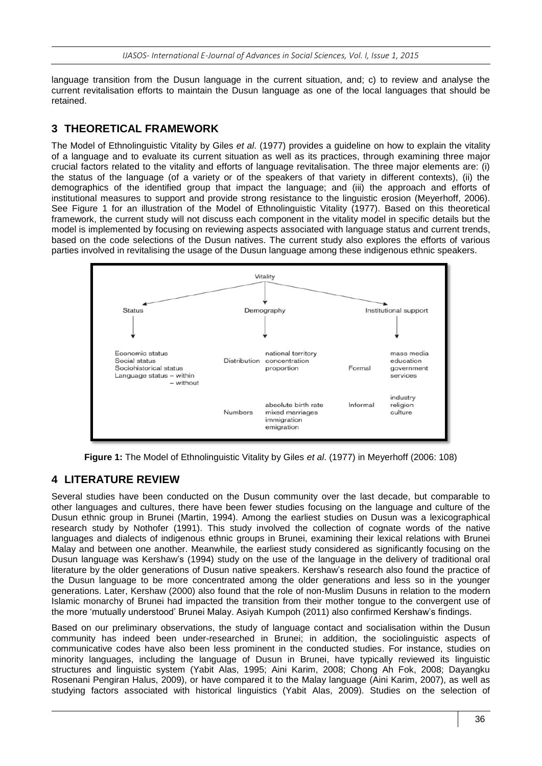language transition from the Dusun language in the current situation, and; c) to review and analyse the current revitalisation efforts to maintain the Dusun language as one of the local languages that should be retained.

## **3 THEORETICAL FRAMEWORK**

The Model of Ethnolinguistic Vitality by Giles *et al*. (1977) provides a guideline on how to explain the vitality of a language and to evaluate its current situation as well as its practices, through examining three major crucial factors related to the vitality and efforts of language revitalisation. The three major elements are: (i) the status of the language (of a variety or of the speakers of that variety in different contexts), (ii) the demographics of the identified group that impact the language; and (iii) the approach and efforts of institutional measures to support and provide strong resistance to the linguistic erosion (Meyerhoff, 2006). See Figure 1 for an illustration of the Model of Ethnolinguistic Vitality (1977). Based on this theoretical framework, the current study will not discuss each component in the vitality model in specific details but the model is implemented by focusing on reviewing aspects associated with language status and current trends, based on the code selections of the Dusun natives. The current study also explores the efforts of various parties involved in revitalising the usage of the Dusun language among these indigenous ethnic speakers.



**Figure 1:** The Model of Ethnolinguistic Vitality by Giles *et al*. (1977) in Meyerhoff (2006: 108)

# **4 LITERATURE REVIEW**

Several studies have been conducted on the Dusun community over the last decade, but comparable to other languages and cultures, there have been fewer studies focusing on the language and culture of the Dusun ethnic group in Brunei (Martin, 1994). Among the earliest studies on Dusun was a lexicographical research study by Nothofer (1991). This study involved the collection of cognate words of the native languages and dialects of indigenous ethnic groups in Brunei, examining their lexical relations with Brunei Malay and between one another. Meanwhile, the earliest study considered as significantly focusing on the Dusun language was Kershaw's (1994) study on the use of the language in the delivery of traditional oral literature by the older generations of Dusun native speakers. Kershaw's research also found the practice of the Dusun language to be more concentrated among the older generations and less so in the younger generations. Later, Kershaw (2000) also found that the role of non-Muslim Dusuns in relation to the modern Islamic monarchy of Brunei had impacted the transition from their mother tongue to the convergent use of the more 'mutually understood' Brunei Malay. Asiyah Kumpoh (2011) also confirmed Kershaw's findings.

Based on our preliminary observations, the study of language contact and socialisation within the Dusun community has indeed been under-researched in Brunei; in addition, the sociolinguistic aspects of communicative codes have also been less prominent in the conducted studies. For instance, studies on minority languages, including the language of Dusun in Brunei, have typically reviewed its linguistic structures and linguistic system (Yabit Alas, 1995; Aini Karim, 2008; Chong Ah Fok, 2008; Dayangku Rosenani Pengiran Halus, 2009), or have compared it to the Malay language (Aini Karim, 2007), as well as studying factors associated with historical linguistics (Yabit Alas, 2009). Studies on the selection of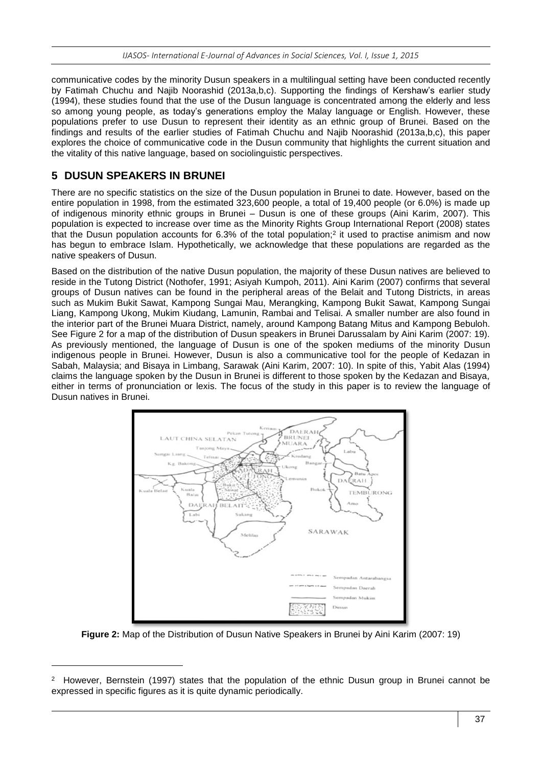communicative codes by the minority Dusun speakers in a multilingual setting have been conducted recently by Fatimah Chuchu and Najib Noorashid (2013a,b,c). Supporting the findings of Kershaw's earlier study (1994), these studies found that the use of the Dusun language is concentrated among the elderly and less so among young people, as today's generations employ the Malay language or English. However, these populations prefer to use Dusun to represent their identity as an ethnic group of Brunei. Based on the findings and results of the earlier studies of Fatimah Chuchu and Najib Noorashid (2013a,b,c), this paper explores the choice of communicative code in the Dusun community that highlights the current situation and the vitality of this native language, based on sociolinguistic perspectives.

# **5 DUSUN SPEAKERS IN BRUNEI**

-

There are no specific statistics on the size of the Dusun population in Brunei to date. However, based on the entire population in 1998, from the estimated 323,600 people, a total of 19,400 people (or 6.0%) is made up of indigenous minority ethnic groups in Brunei – Dusun is one of these groups (Aini Karim, 2007). This population is expected to increase over time as the Minority Rights Group International Report (2008) states that the Dusun population accounts for 6.3% of the total population; 2 it used to practise animism and now has begun to embrace Islam. Hypothetically, we acknowledge that these populations are regarded as the native speakers of Dusun.

Based on the distribution of the native Dusun population, the majority of these Dusun natives are believed to reside in the Tutong District (Nothofer, 1991; Asiyah Kumpoh, 2011). Aini Karim (2007) confirms that several groups of Dusun natives can be found in the peripheral areas of the Belait and Tutong Districts, in areas such as Mukim Bukit Sawat, Kampong Sungai Mau, Merangking, Kampong Bukit Sawat, Kampong Sungai Liang, Kampong Ukong, Mukim Kiudang, Lamunin, Rambai and Telisai. A smaller number are also found in the interior part of the Brunei Muara District, namely, around Kampong Batang Mitus and Kampong Bebuloh. See Figure 2 for a map of the distribution of Dusun speakers in Brunei Darussalam by Aini Karim (2007: 19). As previously mentioned, the language of Dusun is one of the spoken mediums of the minority Dusun indigenous people in Brunei. However, Dusun is also a communicative tool for the people of Kedazan in Sabah, Malaysia; and Bisaya in Limbang, Sarawak (Aini Karim, 2007: 10). In spite of this, Yabit Alas (1994) claims the language spoken by the Dusun in Brunei is different to those spoken by the Kedazan and Bisaya, either in terms of pronunciation or lexis. The focus of the study in this paper is to review the language of Dusun natives in Brunei.



**Figure 2:** Map of the Distribution of Dusun Native Speakers in Brunei by Aini Karim (2007: 19)

<sup>2</sup> However, Bernstein (1997) states that the population of the ethnic Dusun group in Brunei cannot be expressed in specific figures as it is quite dynamic periodically.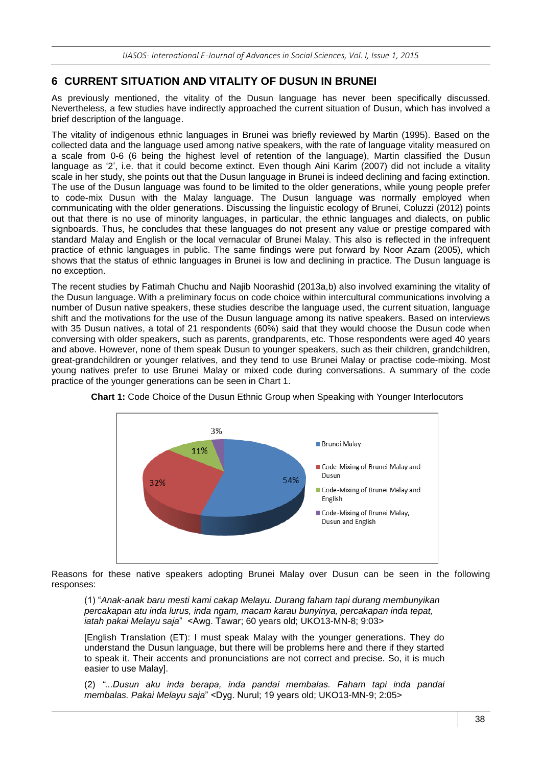# **6 CURRENT SITUATION AND VITALITY OF DUSUN IN BRUNEI**

As previously mentioned, the vitality of the Dusun language has never been specifically discussed. Nevertheless, a few studies have indirectly approached the current situation of Dusun, which has involved a brief description of the language.

The vitality of indigenous ethnic languages in Brunei was briefly reviewed by Martin (1995). Based on the collected data and the language used among native speakers, with the rate of language vitality measured on a scale from 0-6 (6 being the highest level of retention of the language), Martin classified the Dusun language as '2', i.e. that it could become extinct. Even though Aini Karim (2007) did not include a vitality scale in her study, she points out that the Dusun language in Brunei is indeed declining and facing extinction. The use of the Dusun language was found to be limited to the older generations, while young people prefer to code-mix Dusun with the Malay language. The Dusun language was normally employed when communicating with the older generations. Discussing the linguistic ecology of Brunei, Coluzzi (2012) points out that there is no use of minority languages, in particular, the ethnic languages and dialects, on public signboards. Thus, he concludes that these languages do not present any value or prestige compared with standard Malay and English or the local vernacular of Brunei Malay. This also is reflected in the infrequent practice of ethnic languages in public. The same findings were put forward by Noor Azam (2005), which shows that the status of ethnic languages in Brunei is low and declining in practice. The Dusun language is no exception.

The recent studies by Fatimah Chuchu and Najib Noorashid (2013a,b) also involved examining the vitality of the Dusun language. With a preliminary focus on code choice within intercultural communications involving a number of Dusun native speakers, these studies describe the language used, the current situation, language shift and the motivations for the use of the Dusun language among its native speakers. Based on interviews with 35 Dusun natives, a total of 21 respondents (60%) said that they would choose the Dusun code when conversing with older speakers, such as parents, grandparents, etc. Those respondents were aged 40 years and above. However, none of them speak Dusun to younger speakers, such as their children, grandchildren, great-grandchildren or younger relatives, and they tend to use Brunei Malay or practise code-mixing. Most young natives prefer to use Brunei Malay or mixed code during conversations. A summary of the code practice of the younger generations can be seen in Chart 1.





Reasons for these native speakers adopting Brunei Malay over Dusun can be seen in the following responses:

(1) "*Anak-anak baru mesti kami cakap Melayu. Durang faham tapi durang membunyikan percakapan atu inda lurus, inda ngam, macam karau bunyinya, percakapan inda tepat, iatah pakai Melayu saja*" <Awg. Tawar; 60 years old; UKO13-MN-8; 9:03>

[English Translation (ET): I must speak Malay with the younger generations. They do understand the Dusun language, but there will be problems here and there if they started to speak it. Their accents and pronunciations are not correct and precise. So, it is much easier to use Malay].

(2) *"...Dusun aku inda berapa, inda pandai membalas. Faham tapi inda pandai membalas. Pakai Melayu saja*" <Dyg. Nurul; 19 years old; UKO13-MN-9; 2:05>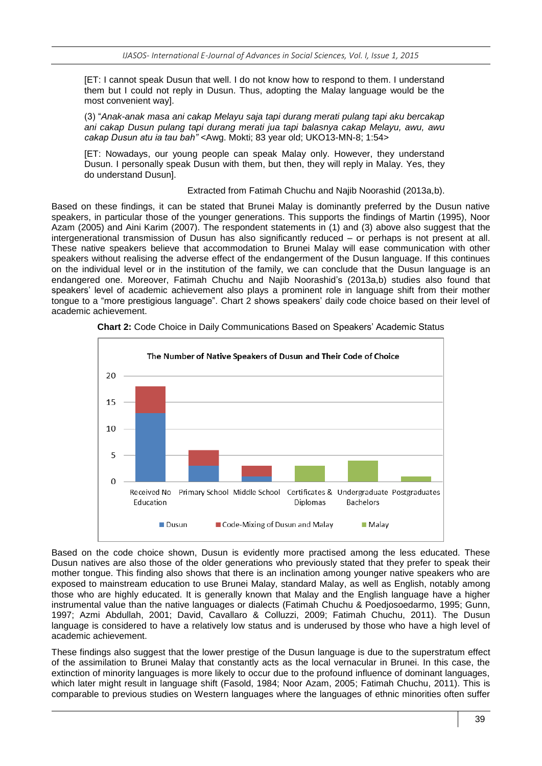[ET: I cannot speak Dusun that well. I do not know how to respond to them. I understand them but I could not reply in Dusun. Thus, adopting the Malay language would be the most convenient way].

(3) "*Anak-anak masa ani cakap Melayu saja tapi durang merati pulang tapi aku bercakap ani cakap Dusun pulang tapi durang merati jua tapi balasnya cakap Melayu, awu, awu cakap Dusun atu ia tau bah"* <Awg. Mokti; 83 year old; UKO13-MN-8; 1:54>

[ET: Nowadays, our young people can speak Malay only. However, they understand Dusun. I personally speak Dusun with them, but then, they will reply in Malay. Yes, they do understand Dusun].

Extracted from Fatimah Chuchu and Najib Noorashid (2013a,b).

Based on these findings, it can be stated that Brunei Malay is dominantly preferred by the Dusun native speakers, in particular those of the younger generations. This supports the findings of Martin (1995), Noor Azam (2005) and Aini Karim (2007). The respondent statements in (1) and (3) above also suggest that the intergenerational transmission of Dusun has also significantly reduced – or perhaps is not present at all. These native speakers believe that accommodation to Brunei Malay will ease communication with other speakers without realising the adverse effect of the endangerment of the Dusun language. If this continues on the individual level or in the institution of the family, we can conclude that the Dusun language is an endangered one. Moreover, Fatimah Chuchu and Najib Noorashid's (2013a,b) studies also found that speakers' level of academic achievement also plays a prominent role in language shift from their mother tongue to a "more prestigious language". Chart 2 shows speakers' daily code choice based on their level of academic achievement.



**Chart 2:** Code Choice in Daily Communications Based on Speakers' Academic Status

Based on the code choice shown, Dusun is evidently more practised among the less educated. These Dusun natives are also those of the older generations who previously stated that they prefer to speak their mother tongue. This finding also shows that there is an inclination among younger native speakers who are exposed to mainstream education to use Brunei Malay, standard Malay, as well as English, notably among those who are highly educated. It is generally known that Malay and the English language have a higher instrumental value than the native languages or dialects (Fatimah Chuchu & Poedjosoedarmo, 1995; Gunn, 1997; Azmi Abdullah, 2001; David, Cavallaro & Colluzzi, 2009; Fatimah Chuchu, 2011). The Dusun language is considered to have a relatively low status and is underused by those who have a high level of academic achievement.

These findings also suggest that the lower prestige of the Dusun language is due to the superstratum effect of the assimilation to Brunei Malay that constantly acts as the local vernacular in Brunei. In this case, the extinction of minority languages is more likely to occur due to the profound influence of dominant languages, which later might result in language shift (Fasold, 1984; Noor Azam, 2005; Fatimah Chuchu, 2011). This is comparable to previous studies on Western languages where the languages of ethnic minorities often suffer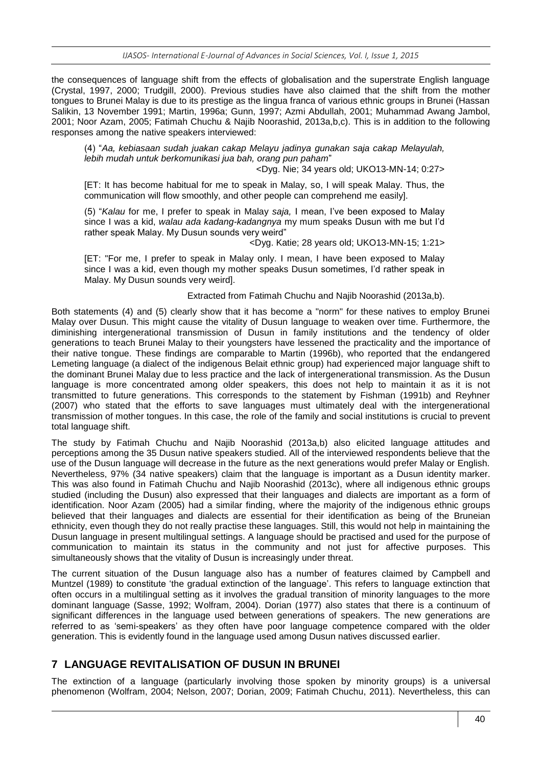the consequences of language shift from the effects of globalisation and the superstrate English language (Crystal, 1997, 2000; Trudgill, 2000). Previous studies have also claimed that the shift from the mother tongues to Brunei Malay is due to its prestige as the lingua franca of various ethnic groups in Brunei (Hassan Salikin, 13 November 1991; Martin, 1996a; Gunn, 1997; Azmi Abdullah, 2001; Muhammad Awang Jambol, 2001; Noor Azam, 2005; Fatimah Chuchu & Najib Noorashid, 2013a,b,c). This is in addition to the following responses among the native speakers interviewed:

(4) "*Aa, kebiasaan sudah juakan cakap Melayu jadinya gunakan saja cakap Melayulah, lebih mudah untuk berkomunikasi jua bah, orang pun paham*"

<Dyg. Nie; 34 years old; UKO13-MN-14; 0:27>

[ET: It has become habitual for me to speak in Malay, so, I will speak Malay. Thus, the communication will flow smoothly, and other people can comprehend me easily].

(5) "*Kalau* for me, I prefer to speak in Malay *saja,* I mean, I've been exposed to Malay since I was a kid, *walau ada kadang-kadangnya* my mum speaks Dusun with me but I'd rather speak Malay. My Dusun sounds very weird"

<Dyg. Katie; 28 years old; UKO13-MN-15; 1:21>

[ET: "For me, I prefer to speak in Malay only. I mean, I have been exposed to Malay since I was a kid, even though my mother speaks Dusun sometimes, I'd rather speak in Malay. My Dusun sounds very weird].

Extracted from Fatimah Chuchu and Najib Noorashid (2013a,b).

Both statements (4) and (5) clearly show that it has become a "norm" for these natives to employ Brunei Malay over Dusun. This might cause the vitality of Dusun language to weaken over time. Furthermore, the diminishing intergenerational transmission of Dusun in family institutions and the tendency of older generations to teach Brunei Malay to their youngsters have lessened the practicality and the importance of their native tongue. These findings are comparable to Martin (1996b), who reported that the endangered Lemeting language (a dialect of the indigenous Belait ethnic group) had experienced major language shift to the dominant Brunei Malay due to less practice and the lack of intergenerational transmission. As the Dusun language is more concentrated among older speakers, this does not help to maintain it as it is not transmitted to future generations. This corresponds to the statement by Fishman (1991b) and Reyhner (2007) who stated that the efforts to save languages must ultimately deal with the intergenerational transmission of mother tongues. In this case, the role of the family and social institutions is crucial to prevent total language shift.

The study by Fatimah Chuchu and Najib Noorashid (2013a,b) also elicited language attitudes and perceptions among the 35 Dusun native speakers studied. All of the interviewed respondents believe that the use of the Dusun language will decrease in the future as the next generations would prefer Malay or English. Nevertheless, 97% (34 native speakers) claim that the language is important as a Dusun identity marker. This was also found in Fatimah Chuchu and Najib Noorashid (2013c), where all indigenous ethnic groups studied (including the Dusun) also expressed that their languages and dialects are important as a form of identification. Noor Azam (2005) had a similar finding, where the majority of the indigenous ethnic groups believed that their languages and dialects are essential for their identification as being of the Bruneian ethnicity, even though they do not really practise these languages. Still, this would not help in maintaining the Dusun language in present multilingual settings. A language should be practised and used for the purpose of communication to maintain its status in the community and not just for affective purposes. This simultaneously shows that the vitality of Dusun is increasingly under threat.

The current situation of the Dusun language also has a number of features claimed by Campbell and Muntzel (1989) to constitute 'the gradual extinction of the language'. This refers to language extinction that often occurs in a multilingual setting as it involves the gradual transition of minority languages to the more dominant language (Sasse, 1992; Wolfram, 2004). Dorian (1977) also states that there is a continuum of significant differences in the language used between generations of speakers. The new generations are referred to as 'semi-speakers' as they often have poor language competence compared with the older generation. This is evidently found in the language used among Dusun natives discussed earlier.

#### **7 LANGUAGE REVITALISATION OF DUSUN IN BRUNEI**

The extinction of a language (particularly involving those spoken by minority groups) is a universal phenomenon (Wolfram, 2004; Nelson, 2007; Dorian, 2009; Fatimah Chuchu, 2011). Nevertheless, this can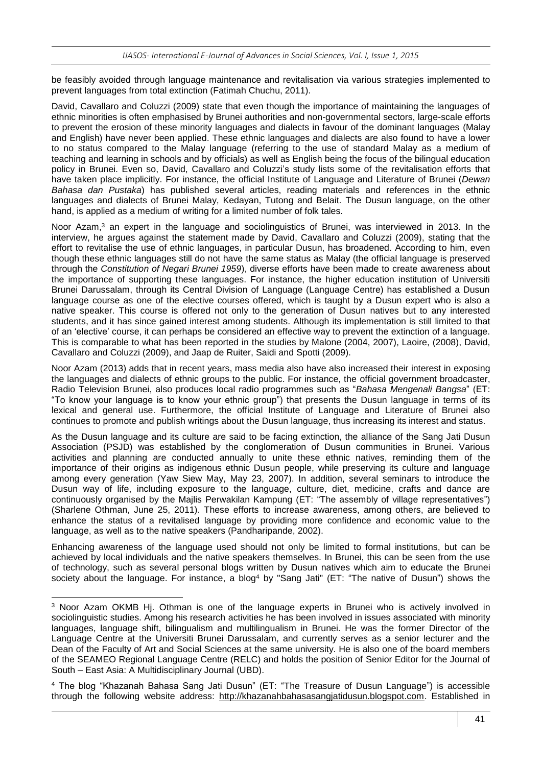be feasibly avoided through language maintenance and revitalisation via various strategies implemented to prevent languages from total extinction (Fatimah Chuchu, 2011).

David, Cavallaro and Coluzzi (2009) state that even though the importance of maintaining the languages of ethnic minorities is often emphasised by Brunei authorities and non-governmental sectors, large-scale efforts to prevent the erosion of these minority languages and dialects in favour of the dominant languages (Malay and English) have never been applied. These ethnic languages and dialects are also found to have a lower to no status compared to the Malay language (referring to the use of standard Malay as a medium of teaching and learning in schools and by officials) as well as English being the focus of the bilingual education policy in Brunei. Even so, David, Cavallaro and Coluzzi's study lists some of the revitalisation efforts that have taken place implicitly. For instance, the official Institute of Language and Literature of Brunei (*Dewan Bahasa dan Pustaka*) has published several articles, reading materials and references in the ethnic languages and dialects of Brunei Malay, Kedayan, Tutong and Belait. The Dusun language, on the other hand, is applied as a medium of writing for a limited number of folk tales.

Noor Azam,<sup>3</sup> an expert in the language and sociolinguistics of Brunei, was interviewed in 2013. In the interview, he argues against the statement made by David, Cavallaro and Coluzzi (2009), stating that the effort to revitalise the use of ethnic languages, in particular Dusun, has broadened. According to him, even though these ethnic languages still do not have the same status as Malay (the official language is preserved through the *Constitution of Negari Brunei 1959*), diverse efforts have been made to create awareness about the importance of supporting these languages. For instance, the higher education institution of Universiti Brunei Darussalam, through its Central Division of Language (Language Centre) has established a Dusun language course as one of the elective courses offered, which is taught by a Dusun expert who is also a native speaker. This course is offered not only to the generation of Dusun natives but to any interested students, and it has since gained interest among students. Although its implementation is still limited to that of an 'elective' course, it can perhaps be considered an effective way to prevent the extinction of a language. This is comparable to what has been reported in the studies by Malone (2004, 2007), Laoire, (2008), David, Cavallaro and Coluzzi (2009), and Jaap de Ruiter, Saidi and Spotti (2009).

Noor Azam (2013) adds that in recent years, mass media also have also increased their interest in exposing the languages and dialects of ethnic groups to the public. For instance, the official government broadcaster, Radio Television Brunei, also produces local radio programmes such as "*Bahasa Mengenali Bangsa*" (ET: "To know your language is to know your ethnic group") that presents the Dusun language in terms of its lexical and general use. Furthermore, the official Institute of Language and Literature of Brunei also continues to promote and publish writings about the Dusun language, thus increasing its interest and status.

As the Dusun language and its culture are said to be facing extinction, the alliance of the Sang Jati Dusun Association (PSJD) was established by the conglomeration of Dusun communities in Brunei. Various activities and planning are conducted annually to unite these ethnic natives, reminding them of the importance of their origins as indigenous ethnic Dusun people, while preserving its culture and language among every generation (Yaw Siew May, May 23, 2007). In addition, several seminars to introduce the Dusun way of life, including exposure to the language, culture, diet, medicine, crafts and dance are continuously organised by the Majlis Perwakilan Kampung (ET: "The assembly of village representatives") (Sharlene Othman, June 25, 2011). These efforts to increase awareness, among others, are believed to enhance the status of a revitalised language by providing more confidence and economic value to the language, as well as to the native speakers (Pandharipande, 2002).

Enhancing awareness of the language used should not only be limited to formal institutions, but can be achieved by local individuals and the native speakers themselves. In Brunei, this can be seen from the use of technology, such as several personal blogs written by Dusun natives which aim to educate the Brunei society about the language. For instance, a blog<sup>4</sup> by "Sang Jati" (ET: "The native of Dusun") shows the

1

<sup>3</sup> Noor Azam OKMB Hj. Othman is one of the language experts in Brunei who is actively involved in sociolinguistic studies. Among his research activities he has been involved in issues associated with minority languages, language shift, bilingualism and multilingualism in Brunei. He was the former Director of the Language Centre at the Universiti Brunei Darussalam, and currently serves as a senior lecturer and the Dean of the Faculty of Art and Social Sciences at the same university. He is also one of the board members of the SEAMEO Regional Language Centre (RELC) and holds the position of Senior Editor for the Journal of South – East Asia: A Multidisciplinary Journal (UBD).

<sup>4</sup> The blog "Khazanah Bahasa Sang Jati Dusun" (ET: "The Treasure of Dusun Language") is accessible through the following website address: [http://khazanahbahasasangjatidusun.blogspot.com.](http://khazanahbahasasangjatidusun.blogspot.com/) Established in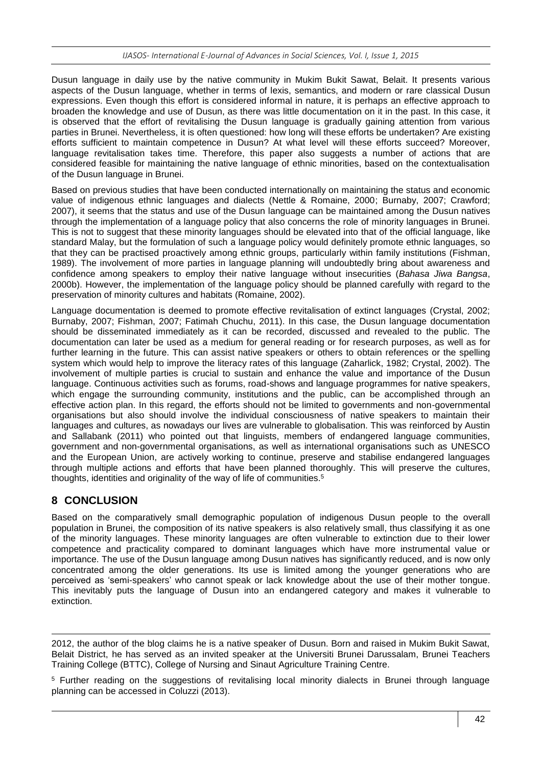Dusun language in daily use by the native community in Mukim Bukit Sawat, Belait. It presents various aspects of the Dusun language, whether in terms of lexis, semantics, and modern or rare classical Dusun expressions. Even though this effort is considered informal in nature, it is perhaps an effective approach to broaden the knowledge and use of Dusun, as there was little documentation on it in the past. In this case, it is observed that the effort of revitalising the Dusun language is gradually gaining attention from various parties in Brunei. Nevertheless, it is often questioned: how long will these efforts be undertaken? Are existing efforts sufficient to maintain competence in Dusun? At what level will these efforts succeed? Moreover, language revitalisation takes time. Therefore, this paper also suggests a number of actions that are considered feasible for maintaining the native language of ethnic minorities, based on the contextualisation of the Dusun language in Brunei.

Based on previous studies that have been conducted internationally on maintaining the status and economic value of indigenous ethnic languages and dialects (Nettle & Romaine, 2000; Burnaby, 2007; Crawford; 2007), it seems that the status and use of the Dusun language can be maintained among the Dusun natives through the implementation of a language policy that also concerns the role of minority languages in Brunei. This is not to suggest that these minority languages should be elevated into that of the official language, like standard Malay, but the formulation of such a language policy would definitely promote ethnic languages, so that they can be practised proactively among ethnic groups, particularly within family institutions (Fishman, 1989). The involvement of more parties in language planning will undoubtedly bring about awareness and confidence among speakers to employ their native language without insecurities (*Bahasa Jiwa Bangsa*, 2000b). However, the implementation of the language policy should be planned carefully with regard to the preservation of minority cultures and habitats (Romaine, 2002).

Language documentation is deemed to promote effective revitalisation of extinct languages (Crystal, 2002; Burnaby, 2007; Fishman, 2007; Fatimah Chuchu, 2011). In this case, the Dusun language documentation should be disseminated immediately as it can be recorded, discussed and revealed to the public. The documentation can later be used as a medium for general reading or for research purposes, as well as for further learning in the future. This can assist native speakers or others to obtain references or the spelling system which would help to improve the literacy rates of this language (Zaharlick, 1982; Crystal, 2002). The involvement of multiple parties is crucial to sustain and enhance the value and importance of the Dusun language. Continuous activities such as forums, road-shows and language programmes for native speakers, which engage the surrounding community, institutions and the public, can be accomplished through an effective action plan. In this regard, the efforts should not be limited to governments and non-governmental organisations but also should involve the individual consciousness of native speakers to maintain their languages and cultures, as nowadays our lives are vulnerable to globalisation. This was reinforced by Austin and Sallabank (2011) who pointed out that linguists, members of endangered language communities, government and non-governmental organisations, as well as international organisations such as UNESCO and the European Union, are actively working to continue, preserve and stabilise endangered languages through multiple actions and efforts that have been planned thoroughly. This will preserve the cultures, thoughts, identities and originality of the way of life of communities. 5

# **8 CONCLUSION**

-

Based on the comparatively small demographic population of indigenous Dusun people to the overall population in Brunei, the composition of its native speakers is also relatively small, thus classifying it as one of the minority languages. These minority languages are often vulnerable to extinction due to their lower competence and practicality compared to dominant languages which have more instrumental value or importance. The use of the Dusun language among Dusun natives has significantly reduced, and is now only concentrated among the older generations. Its use is limited among the younger generations who are perceived as 'semi-speakers' who cannot speak or lack knowledge about the use of their mother tongue. This inevitably puts the language of Dusun into an endangered category and makes it vulnerable to extinction.

2012, the author of the blog claims he is a native speaker of Dusun. Born and raised in Mukim Bukit Sawat, Belait District, he has served as an invited speaker at the Universiti Brunei Darussalam, Brunei Teachers Training College (BTTC), College of Nursing and Sinaut Agriculture Training Centre.

<sup>5</sup> Further reading on the suggestions of revitalising local minority dialects in Brunei through language planning can be accessed in Coluzzi (2013).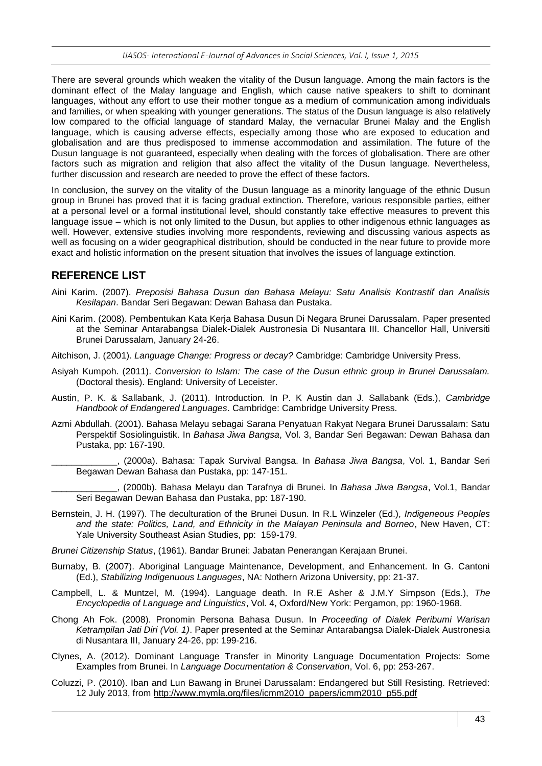There are several grounds which weaken the vitality of the Dusun language. Among the main factors is the dominant effect of the Malay language and English, which cause native speakers to shift to dominant languages, without any effort to use their mother tongue as a medium of communication among individuals and families, or when speaking with younger generations. The status of the Dusun language is also relatively low compared to the official language of standard Malay, the vernacular Brunei Malay and the English language, which is causing adverse effects, especially among those who are exposed to education and globalisation and are thus predisposed to immense accommodation and assimilation. The future of the Dusun language is not guaranteed, especially when dealing with the forces of globalisation. There are other factors such as migration and religion that also affect the vitality of the Dusun language. Nevertheless, further discussion and research are needed to prove the effect of these factors.

In conclusion, the survey on the vitality of the Dusun language as a minority language of the ethnic Dusun group in Brunei has proved that it is facing gradual extinction. Therefore, various responsible parties, either at a personal level or a formal institutional level, should constantly take effective measures to prevent this language issue – which is not only limited to the Dusun, but applies to other indigenous ethnic languages as well. However, extensive studies involving more respondents, reviewing and discussing various aspects as well as focusing on a wider geographical distribution, should be conducted in the near future to provide more exact and holistic information on the present situation that involves the issues of language extinction.

#### **REFERENCE LIST**

- Aini Karim. (2007). *Preposisi Bahasa Dusun dan Bahasa Melayu: Satu Analisis Kontrastif dan Analisis Kesilapan*. Bandar Seri Begawan: Dewan Bahasa dan Pustaka.
- Aini Karim. (2008). Pembentukan Kata Kerja Bahasa Dusun Di Negara Brunei Darussalam. Paper presented at the Seminar Antarabangsa Dialek-Dialek Austronesia Di Nusantara III. Chancellor Hall, Universiti Brunei Darussalam, January 24-26.
- Aitchison, J. (2001). *Language Change: Progress or decay?* Cambridge: Cambridge University Press.
- Asiyah Kumpoh. (2011). *Conversion to Islam: The case of the Dusun ethnic group in Brunei Darussalam.* (Doctoral thesis). England: University of Leceister.
- Austin, P. K. & Sallabank, J. (2011). Introduction. In P. K Austin dan J. Sallabank (Eds.), *Cambridge Handbook of Endangered Languages*. Cambridge: Cambridge University Press.
- Azmi Abdullah. (2001). Bahasa Melayu sebagai Sarana Penyatuan Rakyat Negara Brunei Darussalam: Satu Perspektif Sosiolinguistik. In *Bahasa Jiwa Bangsa*, Vol. 3, Bandar Seri Begawan: Dewan Bahasa dan Pustaka, pp: 167-190.

\_\_\_\_\_\_\_\_\_\_\_\_\_, (2000a). Bahasa: Tapak Survival Bangsa. In *Bahasa Jiwa Bangsa*, Vol. 1, Bandar Seri Begawan Dewan Bahasa dan Pustaka, pp: 147-151.

\_\_\_\_\_\_\_\_\_\_\_\_\_, (2000b). Bahasa Melayu dan Tarafnya di Brunei. In *Bahasa Jiwa Bangsa*, Vol.1, Bandar Seri Begawan Dewan Bahasa dan Pustaka, pp: 187-190.

- Bernstein, J. H. (1997). The deculturation of the Brunei Dusun. In R.L Winzeler (Ed.), *Indigeneous Peoples and the state: Politics, Land, and Ethnicity in the Malayan Peninsula and Borneo*, New Haven, CT: Yale University Southeast Asian Studies, pp: 159-179.
- *Brunei Citizenship Status*, (1961). Bandar Brunei: Jabatan Penerangan Kerajaan Brunei.
- Burnaby, B. (2007). Aboriginal Language Maintenance, Development, and Enhancement. In G. Cantoni (Ed.), *Stabilizing Indigenuous Languages*, NA: Nothern Arizona University, pp: 21-37.
- Campbell, L. & Muntzel, M. (1994). Language death. In R.E Asher & J.M.Y Simpson (Eds.), *The Encyclopedia of Language and Linguistics*, Vol. 4, Oxford/New York: Pergamon, pp: 1960-1968.
- Chong Ah Fok. (2008). Pronomin Persona Bahasa Dusun. In *Proceeding of Dialek Peribumi Warisan Ketrampilan Jati Diri (Vol. 1)*. Paper presented at the Seminar Antarabangsa Dialek-Dialek Austronesia di Nusantara III, January 24-26, pp: 199-216.
- Clynes, A. (2012). Dominant Language Transfer in Minority Language Documentation Projects: Some Examples from Brunei. In *Language Documentation & Conservation*, Vol. 6, pp: 253-267.
- Coluzzi, P. (2010). Iban and Lun Bawang in Brunei Darussalam: Endangered but Still Resisting. Retrieved: 12 July 2013, from [http://www.mymla.org/files/icmm2010\\_papers/icmm2010\\_p55.pdf](http://www.mymla.org/files/icmm2010_papers/icmm2010_p55.pdf)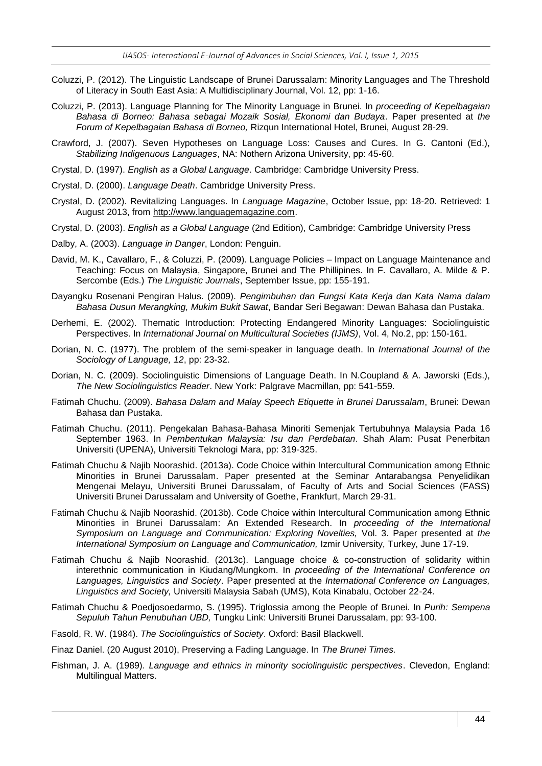- Coluzzi, P. (2012). The Linguistic Landscape of Brunei Darussalam: Minority Languages and The Threshold of Literacy in South East Asia: A Multidisciplinary Journal, Vol. 12, pp: 1-16.
- Coluzzi, P. (2013). Language Planning for The Minority Language in Brunei. In *proceeding of Kepelbagaian Bahasa di Borneo: Bahasa sebagai Mozaik Sosial, Ekonomi dan Budaya*. Paper presented at *the Forum of Kepelbagaian Bahasa di Borneo,* Rizqun International Hotel, Brunei, August 28-29.
- Crawford, J. (2007). Seven Hypotheses on Language Loss: Causes and Cures. In G. Cantoni (Ed.), *Stabilizing Indigenuous Languages*, NA: Nothern Arizona University, pp: 45-60.
- Crystal, D. (1997). *English as a Global Language*. Cambridge: Cambridge University Press.
- Crystal, D. (2000). *Language Death*. Cambridge University Press.
- Crystal, D. (2002). Revitalizing Languages. In *Language Magazine*, October Issue, pp: 18-20. Retrieved: 1 August 2013, from [http://www.languagemagazine.com.](http://www.languagemagazine.com/)
- Crystal, D. (2003). *English as a Global Language* (2nd Edition), Cambridge: Cambridge University Press
- Dalby, A. (2003). *Language in Danger*, London: Penguin.
- David, M. K., Cavallaro, F., & Coluzzi, P. (2009). Language Policies Impact on Language Maintenance and Teaching: Focus on Malaysia, Singapore, Brunei and The Phillipines. In F. Cavallaro, A. Milde & P. Sercombe (Eds.) *The Linguistic Journals*, September Issue, pp: 155-191.
- Dayangku Rosenani Pengiran Halus. (2009). *Pengimbuhan dan Fungsi Kata Kerja dan Kata Nama dalam Bahasa Dusun Merangking, Mukim Bukit Sawat*, Bandar Seri Begawan: Dewan Bahasa dan Pustaka.
- Derhemi, E. (2002). Thematic Introduction: Protecting Endangered Minority Languages: Sociolinguistic Perspectives. In *International Journal on Multicultural Societies (IJMS)*, Vol. 4, No.2, pp: 150-161.
- Dorian, N. C. (1977). The problem of the semi-speaker in language death. In *International Journal of the Sociology of Language, 12*, pp: 23-32.
- Dorian, N. C. (2009). Sociolinguistic Dimensions of Language Death. In N.Coupland & A. Jaworski (Eds.), *The New Sociolinguistics Reader*. New York: Palgrave Macmillan, pp: 541-559.
- Fatimah Chuchu. (2009). *Bahasa Dalam and Malay Speech Etiquette in Brunei Darussalam*, Brunei: Dewan Bahasa dan Pustaka.
- Fatimah Chuchu. (2011). Pengekalan Bahasa-Bahasa Minoriti Semenjak Tertubuhnya Malaysia Pada 16 September 1963. In *Pembentukan Malaysia: Isu dan Perdebatan*. Shah Alam: Pusat Penerbitan Universiti (UPENA), Universiti Teknologi Mara, pp: 319-325.
- Fatimah Chuchu & Najib Noorashid. (2013a). Code Choice within Intercultural Communication among Ethnic Minorities in Brunei Darussalam. Paper presented at the Seminar Antarabangsa Penyelidikan Mengenai Melayu, Universiti Brunei Darussalam, of Faculty of Arts and Social Sciences (FASS) Universiti Brunei Darussalam and University of Goethe, Frankfurt, March 29-31.
- Fatimah Chuchu & Najib Noorashid. (2013b). Code Choice within Intercultural Communication among Ethnic Minorities in Brunei Darussalam: An Extended Research. In *proceeding of the International Symposium on Language and Communication: Exploring Novelties,* Vol. 3. Paper presented at *the International Symposium on Language and Communication,* Izmir University, Turkey, June 17-19.
- Fatimah Chuchu & Najib Noorashid. (2013c). Language choice & co-construction of solidarity within interethnic communication in Kiudang/Mungkom. In *proceeding of the International Conference on Languages, Linguistics and Society*. Paper presented at the *International Conference on Languages, Linguistics and Society,* Universiti Malaysia Sabah (UMS), Kota Kinabalu, October 22-24.
- Fatimah Chuchu & Poedjosoedarmo, S. (1995). Triglossia among the People of Brunei. In *Purih: Sempena Sepuluh Tahun Penubuhan UBD,* Tungku Link: Universiti Brunei Darussalam, pp: 93-100.
- Fasold, R. W. (1984). *The Sociolinguistics of Society*. Oxford: Basil Blackwell.
- Finaz Daniel. (20 August 2010), Preserving a Fading Language. In *The Brunei Times.*
- Fishman, J. A. (1989). *Language and ethnics in minority sociolinguistic perspectives*. Clevedon, England: Multilingual Matters.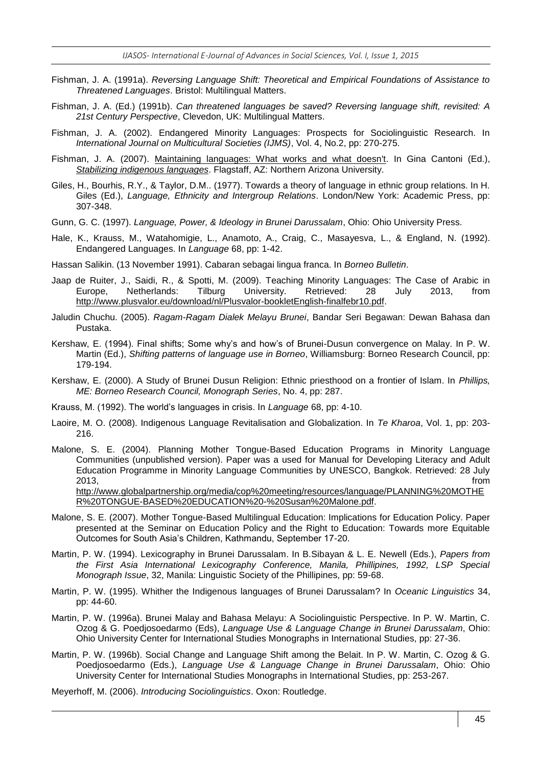- Fishman, J. A. (1991a). *Reversing Language Shift: Theoretical and Empirical Foundations of Assistance to Threatened Languages*. Bristol: Multilingual Matters.
- Fishman, J. A. (Ed.) (1991b). *Can threatened languages be saved? Reversing language shift, revisited: A 21st Century Perspective*, Clevedon, UK: Multilingual Matters.
- Fishman, J. A. (2002). Endangered Minority Languages: Prospects for Sociolinguistic Research. In *International Journal on Multicultural Societies (IJMS)*, Vol. 4, No.2, pp: 270-275.
- Fishman, J. A. (2007). [Maintaining languages: What works and what doesn't.](http://jan.ucc.nau.edu/~jar/SIL/Fishman2.pdf) In Gina Cantoni (Ed.), *[Stabilizing indigenous](http://jan.ucc.nau.edu/~jar/SIL) languages*. Flagstaff, AZ: Northern Arizona University.
- Giles, H., Bourhis, R.Y., & Taylor, D.M.. (1977). Towards a theory of language in ethnic group relations. In H. Giles (Ed.), *Language, Ethnicity and Intergroup Relations*. London/New York: Academic Press, pp: 307-348.
- Gunn, G. C. (1997). *Language, Power, & Ideology in Brunei Darussalam*, Ohio: Ohio University Press.
- Hale, K., Krauss, M., Watahomigie, L., Anamoto, A., Craig, C., Masayesva, L., & England, N. (1992). Endangered Languages. In *Language* 68, pp: 1-42.
- Hassan Salikin. (13 November 1991). Cabaran sebagai lingua franca. In *Borneo Bulletin*.
- Jaap de Ruiter, J., Saidi, R., & Spotti, M. (2009). Teaching Minority Languages: The Case of Arabic in Europe, Netherlands: Tilburg University. Retrieved: 28 July 2013, from [http://www.plusvalor.eu/download/nl/Plusvalor-bookletEnglish-finalfebr10.pdf.](http://www.plusvalor.eu/download/nl/Plusvalor-bookletEnglish-finalfebr10.pdf)
- Jaludin Chuchu. (2005). *Ragam-Ragam Dialek Melayu Brunei*, Bandar Seri Begawan: Dewan Bahasa dan Pustaka.
- Kershaw, E. (1994). Final shifts; Some why's and how's of Brunei-Dusun convergence on Malay. In P. W. Martin (Ed.), *Shifting patterns of language use in Borneo*, Williamsburg: Borneo Research Council, pp: 179-194.
- Kershaw, E. (2000). A Study of Brunei Dusun Religion: Ethnic priesthood on a frontier of Islam. In *Phillips, ME: Borneo Research Council, Monograph Series*, No. 4, pp: 287.
- Krauss, M. (1992). The world's languages in crisis. In *Language* 68, pp: 4-10.
- Laoire, M. O. (2008). Indigenous Language Revitalisation and Globalization. In *Te Kharoa*, Vol. 1, pp: 203- 216.
- Malone, S. E. (2004). Planning Mother Tongue-Based Education Programs in Minority Language Communities (unpublished version). Paper was a used for Manual for Developing Literacy and Adult Education Programme in Minority Language Communities by UNESCO, Bangkok. Retrieved: 28 July 2013, from [http://www.globalpartnership.org/media/cop%20meeting/resources/language/PLANNING%20MOTHE](http://www.globalpartnership.org/media/cop%20meeting/resources/language/PLANNING%20MOTHER%20TONGUE-BASED%20EDUCATION%20-%20Susan%20Malone.pdf) [R%20TONGUE-BASED%20EDUCATION%20-%20Susan%20Malone.pdf.](http://www.globalpartnership.org/media/cop%20meeting/resources/language/PLANNING%20MOTHER%20TONGUE-BASED%20EDUCATION%20-%20Susan%20Malone.pdf)
- Malone, S. E. (2007). Mother Tongue-Based Multilingual Education: Implications for Education Policy. Paper presented at the Seminar on Education Policy and the Right to Education: Towards more Equitable Outcomes for South Asia's Children, Kathmandu, September 17-20.
- Martin, P. W. (1994). Lexicography in Brunei Darussalam. In B.Sibayan & L. E. Newell (Eds.), *Papers from the First Asia International Lexicography Conference, Manila, Phillipines, 1992, LSP Special Monograph Issue*, 32, Manila: Linguistic Society of the Phillipines, pp: 59-68.
- Martin, P. W. (1995). Whither the Indigenous languages of Brunei Darussalam? In *Oceanic Linguistics* 34, pp: 44-60.
- Martin, P. W. (1996a). Brunei Malay and Bahasa Melayu: A Sociolinguistic Perspective. In P. W. Martin, C. Ozog & G. Poedjosoedarmo (Eds), *Language Use & Language Change in Brunei Darussalam*, Ohio: Ohio University Center for International Studies Monographs in International Studies, pp: 27-36.
- Martin, P. W. (1996b). Social Change and Language Shift among the Belait. In P. W. Martin, C. Ozog & G. Poedjosoedarmo (Eds.), *Language Use & Language Change in Brunei Darussalam*, Ohio: Ohio University Center for International Studies Monographs in International Studies, pp: 253-267.
- Meyerhoff, M. (2006). *Introducing Sociolinguistics*. Oxon: Routledge.